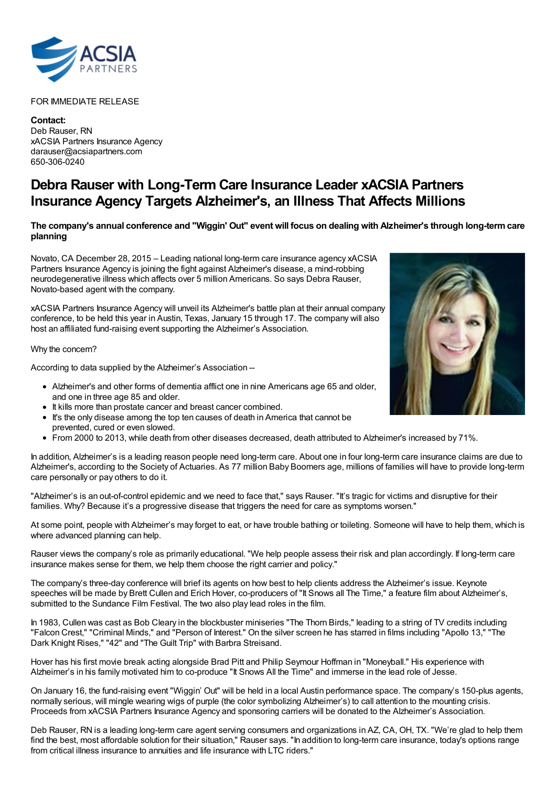

## FOR IMMEDIATE RELEASE

**Contact:** Deb Rauser, RN xACSIA Partners Insurance Agency darauser@acsiapartners.com 650-306-0240

## **Debra Rauser with Long-Term Care Insurance Leader xACSIA Partners Insurance Agency Targets Alzheimer's, an Illness That Affects Millions**

## The company's annual conference and "Wiggin' Out" event will focus on dealing with Alzheimer's through long-term care **planning**

Novato, CA December 28, 2015 – Leading national long-term care insurance agency xACSIA Partners Insurance Agency is joining the fight against Alzheimer's disease, a mind-robbing neurodegenerative illness which affects over 5 million Americans. So says Debra Rauser, Novato-based agent with the company.

xACSIA Partners Insurance Agency will unveil its Alzheimer's battle plan at their annual company conference, to be held this year in Austin, Texas, January 15 through 17. The company will also host an affiliated fund-raising event supporting the Alzheimer's Association.

Why the concern?

According to data supplied by the Alzheimer's Association --

- Alzheimer's and other forms of dementia afflict one in nine Americans age 65 and older, and one in three age 85 and older.
- It kills more than prostate cancer and breast cancer combined.
- It's the only disease among the top ten causes of death in America that cannot be prevented, cured or even slowed.
- From 2000 to 2013, while death from other diseases decreased, death attributed to Alzheimer's increased by 71%.

In addition, Alzheimer's is a leading reason people need long-term care. About one in four long-term care insurance claims are due to Alzheimer's, according to the Society of Actuaries. As 77 million Baby Boomers age, millions of families will have to provide long-term care personally or pay others to do it.

"Alzheimer's is an out-of-control epidemic and we need to face that," says Rauser. "It's tragic for victims and disruptive for their families. Why? Because it's a progressive disease that triggers the need for care as symptoms worsen."

At some point, people with Alzheimer's may forget to eat, or have trouble bathing or toileting. Someone will have to help them, which is where advanced planning can help.

Rauser views the company's role as primarily educational. "We help people assess their risk and plan accordingly. If long-term care insurance makes sense for them, we help them choose the right carrier and policy."

The company's three-day conference will brief its agents on how best to help clients address the Alzheimer's issue. Keynote speeches will be made by Brett Cullen and Erich Hover, co-producers of "It Snows all The Time," a feature film about Alzheimer's, submitted to the Sundance Film Festival. The two also play lead roles in the film.

In 1983, Cullen was cast as Bob Cleary in the blockbuster miniseries "The Thorn Birds," leading to a string of TV credits including "Falcon Crest," "Criminal Minds," and "Person of Interest." On the silver screen he has starred in films including "Apollo 13," "The Dark Knight Rises," "42" and "The Guilt Trip" with Barbra Streisand.

Hover has his first movie break acting alongside Brad Pitt and Philip Seymour Hoffman in "Moneyball." His experience with Alzheimer's in his family motivated him to co-produce "It Snows All the Time" and immerse in the lead role of Jesse.

On January 16, the fund-raising event "Wiggin' Out" will be held in a local Austin performance space. The company's 150-plus agents, normally serious, will mingle wearing wigs of purple (the color symbolizing Alzheimer's) to call attention to the mounting crisis. Proceeds from xACSIA Partners Insurance Agency and sponsoring carriers will be donated to the Alzheimer's Association.

Deb Rauser, RN is a leading long-term care agent serving consumers and organizations in AZ, CA, OH, TX. "We're glad to help them find the best, most affordable solution for their situation," Rauser says. "In addition to long-term care insurance, today's options range from critical illness insurance to annuities and life insurance with LTC riders."